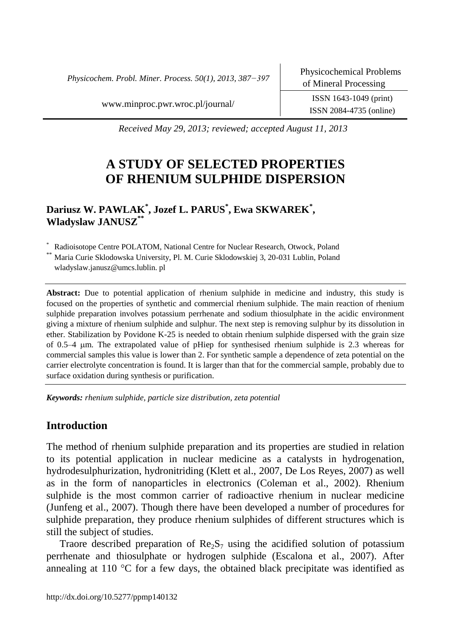*Physicochem. Probl. Miner. Process. 50(1), 2013, 387−397*

[www.minproc.pwr.wroc.pl/journal/](http://www.minproc.pwr.wroc.pl/journal/) ISSN 1643-1049 (print)

ISSN 2084-4735 (online)

*Received May 29, 2013; reviewed; accepted August 11, 2013*

# **A STUDY OF SELECTED PROPERTIES OF RHENIUM SULPHIDE DISPERSION**

**Dariusz W. PAWLAK\* , Jozef L. PARUS\* , Ewa SKWAREK\* , Wladyslaw JANUSZ\*\***

\* Radioisotope Centre POLATOM, National Centre for Nuclear Research, Otwock, Poland Maria Curie Sklodowska University, Pl. M. Curie Sklodowskiej 3, 20-031 Lublin, Poland wladyslaw.janusz@umcs.lublin. pl

**Abstract:** Due to potential application of rhenium sulphide in medicine and industry, this study is focused on the properties of synthetic and commercial rhenium sulphide. The main reaction of rhenium sulphide preparation involves potassium perrhenate and sodium thiosulphate in the acidic environment giving a mixture of rhenium sulphide and sulphur. The next step is removing sulphur by its dissolution in ether. Stabilization by Povidone K-25 is needed to obtain rhenium sulphide dispersed with the grain size of 0.5–4 m. The extrapolated value of pHiep for synthesised rhenium sulphide is 2.3 whereas for commercial samples this value is lower than 2. For synthetic sample a dependence of zeta potential on the carrier electrolyte concentration is found. It is larger than that for the commercial sample, probably due to surface oxidation during synthesis or purification.

*Keywords: rhenium sulphide, particle size distribution, zeta potential*

# **Introduction**

The method of rhenium sulphide preparation and its properties are studied in relation to its potential application in nuclear medicine as a catalysts in hydrogenation, hydrodesulphurization, hydronitriding (Klett et al., 2007, De Los Reyes, 2007) as well as in the form of nanoparticles in electronics (Coleman et al., 2002). Rhenium sulphide is the most common carrier of radioactive rhenium in nuclear medicine (Junfeng et al., 2007). Though there have been developed a number of procedures for sulphide preparation, they produce rhenium sulphides of different structures which is still the subject of studies.

Traore described preparation of  $\text{Re}_2 \text{S}_7$  using the acidified solution of potassium perrhenate and thiosulphate or hydrogen sulphide (Escalona et al., 2007). After annealing at 110  $\degree$ C for a few days, the obtained black precipitate was identified as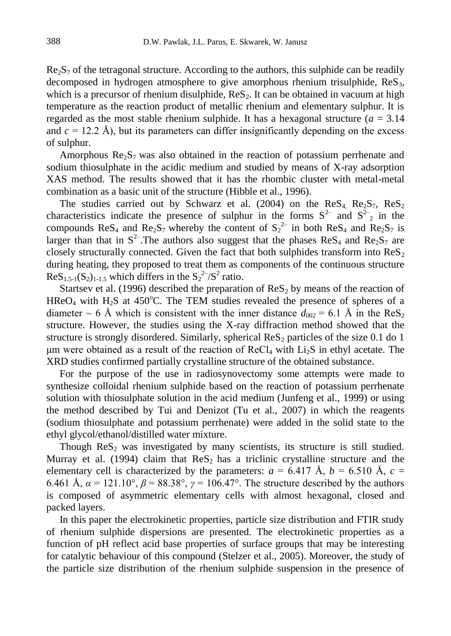$Re<sub>2</sub>S<sub>7</sub>$  of the tetragonal structure. According to the authors, this sulphide can be readily decomposed in hydrogen atmosphere to give amorphous rhenium trisulphide, ReS3, which is a precursor of rhenium disulphide,  $\text{Re} S_2$ . It can be obtained in vacuum at high temperature as the reaction product of metallic rhenium and elementary sulphur. It is regarded as the most stable rhenium sulphide. It has a hexagonal structure  $(a = 3.14)$ and  $c = 12.2$  Å), but its parameters can differ insignificantly depending on the excess of sulphur.

Amorphous  $\text{Re}_2$  was also obtained in the reaction of potassium perrhenate and sodium thiosulphate in the acidic medium and studied by means of X-ray adsorption XAS method. The results showed that it has the rhombic cluster with metal-metal combination as a basic unit of the structure (Hibble et al., 1996).

The studies carried out by Schwarz et al. (2004) on the  $\text{ReS}_4$ ,  $\text{Re}_2\text{S}_7$ ,  $\text{ReS}_2$ characteristics indicate the presence of sulphur in the forms  $S^{2-}$  and  $S^{2-}$  in the compounds ReS<sub>4</sub> and Re<sub>2</sub>S<sub>7</sub> whereby the content of  $S_2^2$  in both ReS<sub>4</sub> and Re<sub>2</sub>S<sub>7</sub> is larger than that in  $S^2$ . The authors also suggest that the phases ReS<sub>4</sub> and Re<sub>2</sub>S<sub>7</sub> are closely structurally connected. Given the fact that both sulphides transform into  $\text{ReS}_2$ during heating, they proposed to treat them as components of the continuous structure  $\text{ReS}_{1.5-1}(S_2)_{1-1.5}$  which differs in the  $\text{S}_2^2/\text{S}^2$  ratio.

Startsev et al. (1996) described the preparation of  $\text{ReS}_2$  by means of the reaction of HRe $O_4$  with H<sub>2</sub>S at 450°C. The TEM studies revealed the presence of spheres of a diameter  $\sim$  6 Å which is consistent with the inner distance  $d_{002}$  = 6.1 Å in the ReS<sub>2</sub> structure. However, the studies using the X-ray diffraction method showed that the structure is strongly disordered. Similarly, spherical  $\text{ReS}_2$  particles of the size 0.1 do 1 μm were obtained as a result of the reaction of  $\text{ReCl}_4$  with  $\text{Li}_2\text{S}$  in ethyl acetate. The XRD studies confirmed partially crystalline structure of the obtained substance.

For the purpose of the use in radiosynovectomy some attempts were made to synthesize colloidal rhenium sulphide based on the reaction of potassium perrhenate solution with thiosulphate solution in the acid medium (Junfeng et al., 1999) or using the method described by Tui and Denizot (Tu et al., 2007) in which the reagents (sodium thiosulphate and potassium perrhenate) were added in the solid state to the ethyl glycol/ethanol/distilled water mixture.

Though  $\text{ReS}_2$  was investigated by many scientists, its structure is still studied. Murray et al. (1994) claim that  $\text{ReS}_2$  has a triclinic crystalline structure and the elementary cell is characterized by the parameters:  $a = 6.417 \text{ Å}$ ,  $b = 6.510 \text{ Å}$ ,  $c =$ 6.461 Å,  $\alpha = 121.10^{\circ}$ ,  $\beta = 88.38^{\circ}$ ,  $\gamma = 106.47^{\circ}$ . The structure described by the authors is composed of asymmetric elementary cells with almost hexagonal, closed and packed layers.

In this paper the electrokinetic properties, particle size distribution and FTIR study of rhenium sulphide dispersions are presented. The electrokinetic properties as a function of pH reflect acid base properties of surface groups that may be interesting for catalytic behaviour of this compound (Stelzer et al., 2005). Moreover, the study of the particle size distribution of the rhenium sulphide suspension in the presence of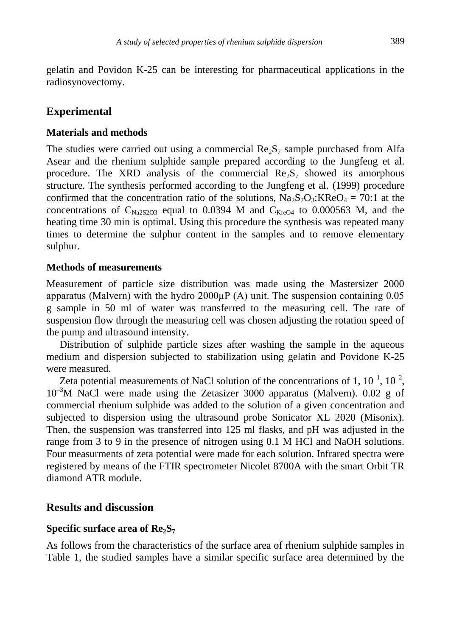gelatin and Povidon K-25 can be interesting for pharmaceutical applications in the radiosynovectomy.

# **Experimental**

#### **Materials and methods**

The studies were carried out using a commercial  $\text{Re}_2\text{S}_7$  sample purchased from Alfa Asear and the rhenium sulphide sample prepared according to the Jungfeng et al. procedure. The XRD analysis of the commercial  $\text{Re}_2$  showed its amorphous structure. The synthesis performed according to the Jungfeng et al. (1999) procedure confirmed that the concentration ratio of the solutions,  $Na<sub>2</sub>S<sub>2</sub>O<sub>3</sub>$ :KRe $O<sub>4</sub> = 70:1$  at the concentrations of  $C_{\text{Na2S2O3}}$  equal to 0.0394 M and  $C_{\text{Kre04}}$  to 0.000563 M, and the heating time 30 min is optimal. Using this procedure the synthesis was repeated many times to determine the sulphur content in the samples and to remove elementary sulphur.

#### **Methods of measurements**

Measurement of particle size distribution was made using the Mastersizer 2000 apparatus (Malvern) with the hydro  $2000\mu P(A)$  unit. The suspension containing 0.05 g sample in 50 ml of water was transferred to the measuring cell. The rate of suspension flow through the measuring cell was chosen adjusting the rotation speed of the pump and ultrasound intensity.

Distribution of sulphide particle sizes after washing the sample in the aqueous medium and dispersion subjected to stabilization using gelatin and Povidone K-25 were measured.

Zeta potential measurements of NaCl solution of the concentrations of 1,  $10^{-1}$ ,  $10^{-2}$ ,  $10^{-3}$ M NaCl were made using the Zetasizer 3000 apparatus (Malvern). 0.02 g of commercial rhenium sulphide was added to the solution of a given concentration and subjected to dispersion using the ultrasound probe Sonicator XL 2020 (Misonix). Then, the suspension was transferred into 125 ml flasks, and pH was adjusted in the range from 3 to 9 in the presence of nitrogen using 0.1 M HCl and NaOH solutions. Four measurments of zeta potential were made for each solution. Infrared spectra were registered by means of the FTIR spectrometer Nicolet 8700A with the smart Orbit TR diamond ATR module.

## **Results and discussion**

#### **Specific surface area of Re2S<sup>7</sup>**

As follows from the characteristics of the surface area of rhenium sulphide samples in Table 1, the studied samples have a similar specific surface area determined by the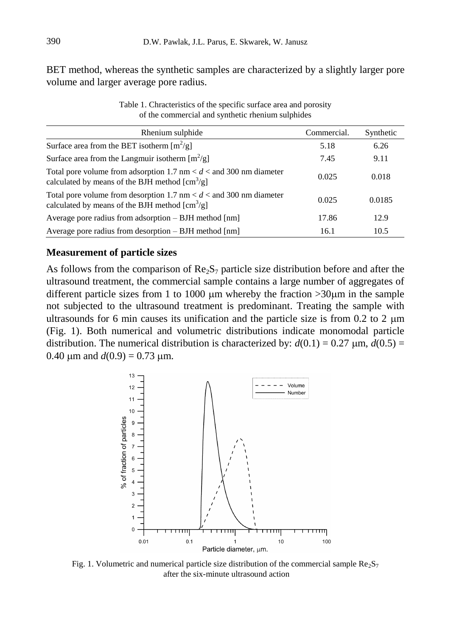BET method, whereas the synthetic samples are characterized by a slightly larger pore volume and larger average pore radius.

| Rhenium sulphide                                                                                                                                   | Commercial. | Synthetic |
|----------------------------------------------------------------------------------------------------------------------------------------------------|-------------|-----------|
| Surface area from the BET isotherm $[m^2/g]$                                                                                                       | 5.18        | 6.26      |
| Surface area from the Langmuir isotherm $\lceil m^2/g \rceil$                                                                                      | 7.45        | 9.11      |
| Total pore volume from adsorption 1.7 nm $< d <$ and 300 nm diameter<br>calculated by means of the BJH method $\lceil \text{cm}^3/\text{g} \rceil$ | 0.025       | 0.018     |
| Total pore volume from desorption 1.7 nm $< d <$ and 300 nm diameter<br>calculated by means of the BJH method $\text{[cm}^3\text{/g]}$             | 0.025       | 0.0185    |
| Average pore radius from adsorption $-$ BJH method [nm]                                                                                            | 17.86       | 12.9      |
| Average pore radius from desorption $-$ BJH method $\lceil nm \rceil$                                                                              | 16.1        | 10.5      |

Table 1. Chracteristics of the specific surface area and porosity of the commercial and synthetic rhenium sulphides

#### **Measurement of particle sizes**

As follows from the comparison of  $\text{Re}_2\text{S}_7$  particle size distribution before and after the ultrasound treatment, the commercial sample contains a large number of aggregates of different particle sizes from 1 to 1000  $\mu$ m whereby the fraction  $>30\mu$ m in the sample not subjected to the ultrasound treatment is predominant. Treating the sample with ultrasounds for 6 min causes its unification and the particle size is from 0.2 to 2  $\mu$ m (Fig. 1). Both numerical and volumetric distributions indicate monomodal particle distribution. The numerical distribution is characterized by:  $d(0.1) = 0.27 \mu m$ ,  $d(0.5) =$ 0.40  $\mu$ m and  $d(0.9) = 0.73 \mu$ m.



Fig. 1. Volumetric and numerical particle size distribution of the commercial sample  $\text{Re}_2\text{S}_7$ after the six-minute ultrasound action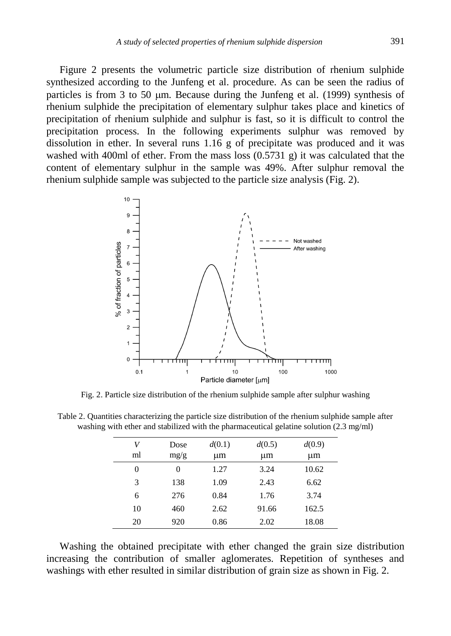Figure 2 presents the volumetric particle size distribution of rhenium sulphide synthesized according to the Junfeng et al. procedure. As can be seen the radius of particles is from 3 to 50  $\mu$ m. Because during the Junfeng et al. (1999) synthesis of rhenium sulphide the precipitation of elementary sulphur takes place and kinetics of precipitation of rhenium sulphide and sulphur is fast, so it is difficult to control the precipitation process. In the following experiments sulphur was removed by dissolution in ether. In several runs 1.16 g of precipitate was produced and it was washed with 400ml of ether. From the mass loss  $(0.5731 \text{ g})$  it was calculated that the content of elementary sulphur in the sample was 49%. After sulphur removal the rhenium sulphide sample was subjected to the particle size analysis (Fig. 2).



Fig. 2. Particle size distribution of the rhenium sulphide sample after sulphur washing

| V  | Dose | d(0.1) | d(0.5) | d(0.9) |
|----|------|--------|--------|--------|
| ml | mg/g | um     | μm     | um     |
| 0  | 0    | 1.27   | 3.24   | 10.62  |
| 3  | 138  | 1.09   | 2.43   | 6.62   |
| 6  | 276  | 0.84   | 1.76   | 3.74   |
| 10 | 460  | 2.62   | 91.66  | 162.5  |
| 20 | 920  | 0.86   | 2.02   | 18.08  |

Table 2. Quantities characterizing the particle size distribution of the rhenium sulphide sample after washing with ether and stabilized with the pharmaceutical gelatine solution (2.3 mg/ml)

Washing the obtained precipitate with ether changed the grain size distribution increasing the contribution of smaller aglomerates. Repetition of syntheses and washings with ether resulted in similar distribution of grain size as shown in Fig. 2.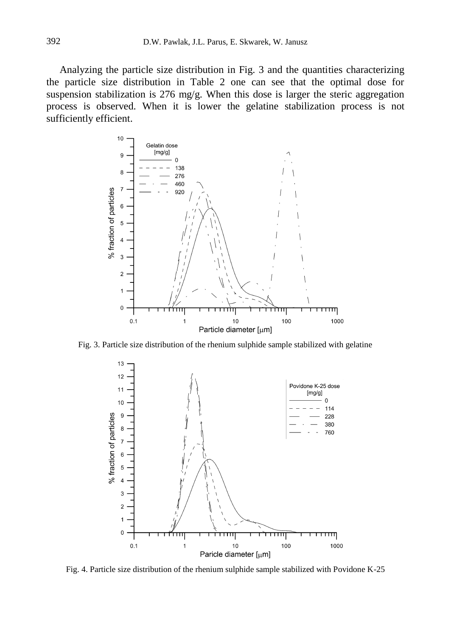Analyzing the particle size distribution in Fig. 3 and the quantities characterizing the particle size distribution in Table 2 one can see that the optimal dose for suspension stabilization is 276 mg/g. When this dose is larger the steric aggregation process is observed. When it is lower the gelatine stabilization process is not sufficiently efficient.



Fig. 3. Particle size distribution of the rhenium sulphide sample stabilized with gelatine



Fig. 4. Particle size distribution of the rhenium sulphide sample stabilized with Povidone K-25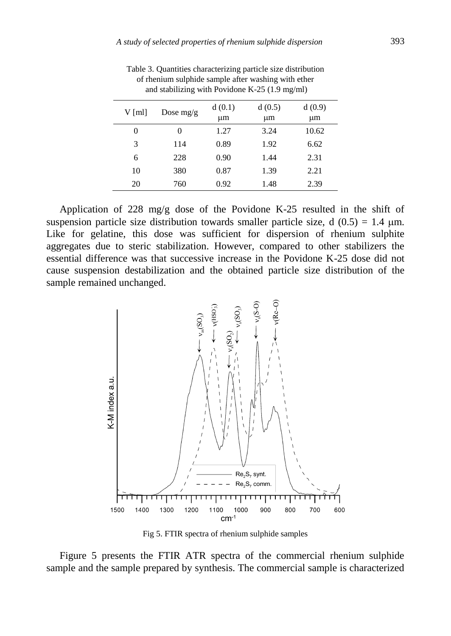| $V$ [ml] | Dose $mg/g$ | d(0.1) | d(0.5) | d(0.9)  |
|----------|-------------|--------|--------|---------|
|          |             | μm     | μm     | $\mu$ m |
| 0        | 0           | 1.27   | 3.24   | 10.62   |
| 3        | 114         | 0.89   | 1.92   | 6.62    |
| 6        | 228         | 0.90   | 1.44   | 2.31    |
| 10       | 380         | 0.87   | 1.39   | 2.21    |
| 20       | 760         | 0.92   | 1.48   | 2.39    |

Table 3. Quantities characterizing particle size distribution of rhenium sulphide sample after washing with ether and stabilizing with Povidone K-25 (1.9 mg/ml)

Application of 228 mg/g dose of the Povidone K-25 resulted in the shift of suspension particle size distribution towards smaller particle size, d  $(0.5) = 1.4 \mu m$ . Like for gelatine, this dose was sufficient for dispersion of rhenium sulphite aggregates due to steric stabilization. However, compared to other stabilizers the essential difference was that successive increase in the Povidone K-25 dose did not cause suspension destabilization and the obtained particle size distribution of the sample remained unchanged.



Fig 5. FTIR spectra of rhenium sulphide samples

Figure 5 presents the FTIR ATR spectra of the commercial rhenium sulphide sample and the sample prepared by synthesis. The commercial sample is characterized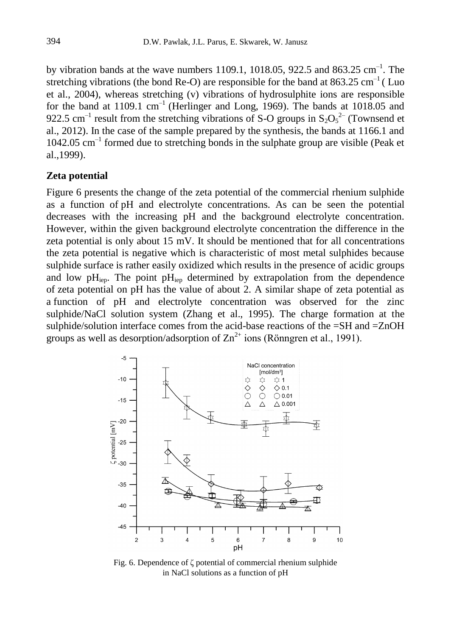by vibration bands at the wave numbers 1109.1, 1018.05, 922.5 and 863.25  $cm^{-1}$ . The stretching vibrations (the bond Re-O) are responsible for the band at  $863.25 \text{ cm}^{-1}$  (Luo et al., 2004), whereas stretching (v) vibrations of hydrosulphite ions are responsible for the band at  $1109.1 \text{ cm}^{-1}$  (Herlinger and Long, 1969). The bands at  $1018.05$  and 922.5 cm<sup>-1</sup> result from the stretching vibrations of S-O groups in  $S_2O_5^2$ <sup>-2</sup> (Townsend et al., 2012). In the case of the sample prepared by the synthesis, the bands at 1166.1 and  $1042.05$  cm<sup>-1</sup> formed due to stretching bonds in the sulphate group are visible (Peak et al.,1999).

#### **Zeta potential**

Figure 6 presents the change of the zeta potential of the commercial rhenium sulphide as a function of pH and electrolyte concentrations. As can be seen the potential decreases with the increasing pH and the background electrolyte concentration. However, within the given background electrolyte concentration the difference in the zeta potential is only about 15 mV. It should be mentioned that for all concentrations the zeta potential is negative which is characteristic of most metal sulphides because sulphide surface is rather easily oxidized which results in the presence of acidic groups and low  $pH_{\text{ien}}$ . The point  $pH_{\text{ien}}$  determined by extrapolation from the dependence of zeta potential on pH has the value of about 2. A similar shape of zeta potential as a function of pH and electrolyte concentration was observed for the zinc sulphide/NaCl solution system (Zhang et al., 1995). The charge formation at the sulphide/solution interface comes from the acid-base reactions of the =SH and =ZnOH groups as well as desorption/adsorption of  $\text{Zn}^{2+}$  ions (Rönngren et al., 1991).



Fig. 6. Dependence of ζ potential of commercial rhenium sulphide in NaCl solutions as a function of pH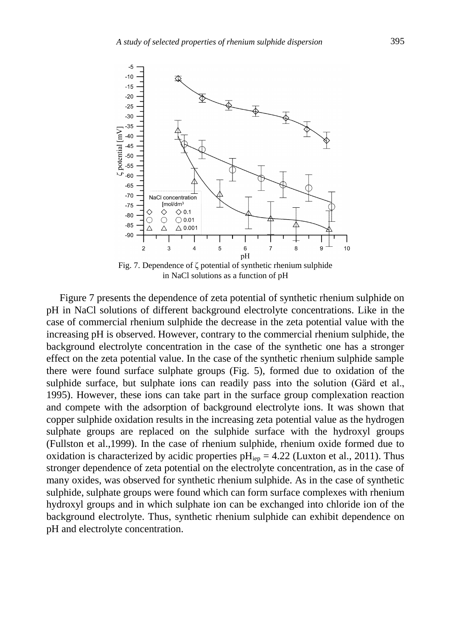

Fig. 7. Dependence of ζ potential of synthetic rhenium sulphide in NaCl solutions as a function of pH

Figure 7 presents the dependence of zeta potential of synthetic rhenium sulphide on pH in NaCl solutions of different background electrolyte concentrations. Like in the case of commercial rhenium sulphide the decrease in the zeta potential value with the increasing pH is observed. However, contrary to the commercial rhenium sulphide, the background electrolyte concentration in the case of the synthetic one has a stronger effect on the zeta potential value. In the case of the synthetic rhenium sulphide sample there were found surface sulphate groups (Fig. 5), formed due to oxidation of the sulphide surface, but sulphate ions can readily pass into the solution (Gärd et al., 1995). However, these ions can take part in the surface group complexation reaction and compete with the adsorption of background electrolyte ions. It was shown that copper sulphide oxidation results in the increasing zeta potential value as the hydrogen sulphate groups are replaced on the sulphide surface with the hydroxyl groups (Fullston et al.,1999). In the case of rhenium sulphide, rhenium oxide formed due to oxidation is characterized by acidic properties  $pH_{iep} = 4.22$  (Luxton et al., 2011). Thus stronger dependence of zeta potential on the electrolyte concentration, as in the case of many oxides, was observed for synthetic rhenium sulphide. As in the case of synthetic sulphide, sulphate groups were found which can form surface complexes with rhenium hydroxyl groups and in which sulphate ion can be exchanged into chloride ion of the background electrolyte. Thus, synthetic rhenium sulphide can exhibit dependence on pH and electrolyte concentration.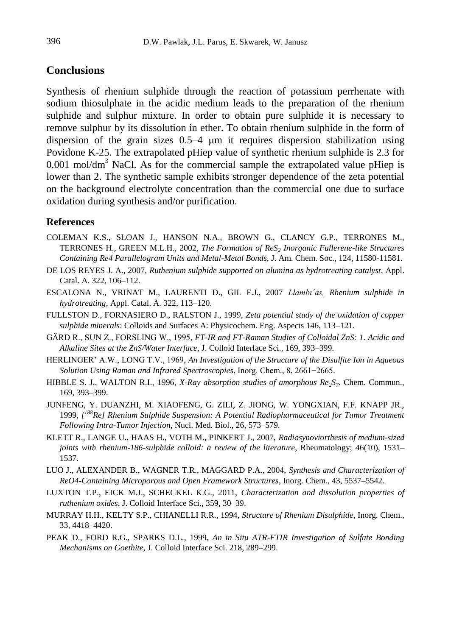## **Conclusions**

Synthesis of rhenium sulphide through the reaction of potassium perrhenate with sodium thiosulphate in the acidic medium leads to the preparation of the rhenium sulphide and sulphur mixture. In order to obtain pure sulphide it is necessary to remove sulphur by its dissolution in ether. To obtain rhenium sulphide in the form of dispersion of the grain sizes  $0.5-4$  µm it requires dispersion stabilization using Povidone K-25. The extrapolated pHiep value of synthetic rhenium sulphide is 2.3 for 0.001 mol/dm<sup>3</sup> NaCl. As for the commercial sample the extrapolated value pHiep is lower than 2. The synthetic sample exhibits stronger dependence of the zeta potential on the background electrolyte concentration than the commercial one due to surface oxidation during synthesis and/or purification.

#### **References**

- COLEMAN K.S., SLOAN J., HANSON N.A., BROWN G., CLANCY G.P., TERRONES M., TERRONES H., GREEN M.L.H., 2002, *The Formation of ReS<sup>2</sup> Inorganic Fullerene-like Structures Containing Re4 Parallelogram Units and Metal-Metal Bonds,* J. Am. Chem. Soc., 124, 11580-11581.
- DE LOS REYES J. A., 2007, *Ruthenium sulphide supported on alumina as hydrotreating catalyst*, Appl. Catal. A. 322, 106–112.
- ESCALONA N., VRINAT M., LAURENTI D., GIL F.J., 2007 *Llambı´as, Rhenium sulphide in hydrotreating*, Appl. Catal. A. 322, 113–120.
- FULLSTON D., FORNASIERO D., RALSTON J., 1999, *Zeta potential study of the oxidation of copper sulphide minerals*: Colloids and Surfaces A: Physicochem. Eng. Aspects 146, 113–121.
- GÄRD R., SUN Z., FORSLING W., 1995, *FT-IR and FT-Raman Studies of Colloidal ZnS: 1. Acidic and Alkaline Sites at the ZnS/Water Interface*, J. Colloid Interface Sci., 169, 393–399.
- HERLINGER' A.W., LONG T.V., 1969, *An Investigation of the Structure of the Disulfite Ion in Aqueous Solution Using Raman and Infrared Spectroscopies*, Inorg. Chem., 8, 2661−2665.
- HIBBLE S. J., WALTON R.I., 1996, *X-Ray absorption studies of amorphous Re2S<sup>7</sup>* . Chem. Commun., 169, 393–399.
- JUNFENG, Y. DUANZHI, M. XIAOFENG, G. ZILI, Z. JIONG, W. YONGXIAN, F.F. KNAPP JR., 1999, *[ <sup>188</sup>Re] Rhenium Sulphide Suspension: A Potential Radiopharmaceutical for Tumor Treatment Following Intra-Tumor Injection,* Nucl. Med. Biol., 26, 573–579.
- KLETT R., LANGE U., HAAS H., VOTH M., PINKERT J., 2007, *Radiosynoviorthesis of medium-sized joints with rhenium-186-sulphide colloid: a review of the literature*, Rheumatology; 46(10), 1531– 1537.
- LUO J., ALEXANDER B., WAGNER T.R., MAGGARD P.A., 2004, *Synthesis and Characterization of ReO4-Containing Microporous and Open Framework Structures*, Inorg. Chem., 43, 5537–5542.
- LUXTON T.P., EICK M.J., SCHECKEL K.G., 2011, *Characterization and dissolution properties of ruthenium oxides*, J. Colloid Interface Sci., 359, 30–39.
- MURRAY H.H., KELTY S.P., CHIANELLI R.R., 1994, *Structure of Rhenium Disulphide*, Inorg. Chem., 33, 4418–4420.
- PEAK D., FORD R.G., SPARKS D.L., 1999, *An in Situ ATR-FTIR Investigation of Sulfate Bonding Mechanisms on Goethite*, J. Colloid Interface Sci. 218, 289–299.